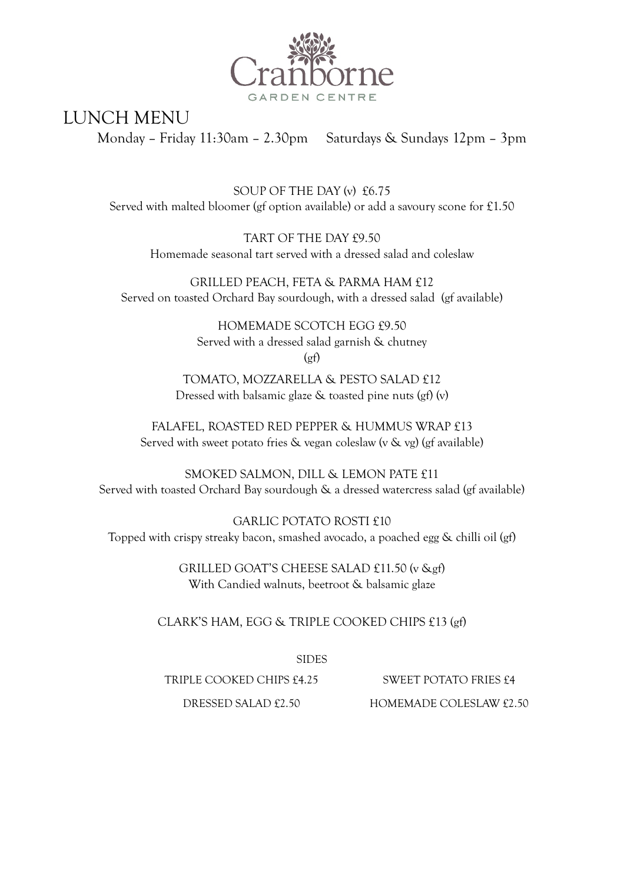

LUNCH MENU

Monday – Friday 11:30am – 2.30pm Saturdays & Sundays 12pm – 3pm

SOUP OF THE DAY (v) £6.75 Served with malted bloomer (gf option available) or add a savoury scone for £1.50

TART OF THE DAY £9.50 Homemade seasonal tart served with a dressed salad and coleslaw

GRILLED PEACH, FETA & PARMA HAM £12 Served on toasted Orchard Bay sourdough, with a dressed salad (gf available)

> HOMEMADE SCOTCH EGG £9.50 Served with a dressed salad garnish & chutney  $(gf)$

TOMATO, MOZZARELLA & PESTO SALAD £12 Dressed with balsamic glaze & toasted pine nuts (gf) (v)

FALAFEL, ROASTED RED PEPPER & HUMMUS WRAP £13 Served with sweet potato fries & vegan coleslaw (v & vg) (gf available)

SMOKED SALMON, DILL & LEMON PATE £11 Served with toasted Orchard Bay sourdough & a dressed watercress salad (gf available)

GARLIC POTATO ROSTI £10 Topped with crispy streaky bacon, smashed avocado, a poached egg & chilli oil (gf)

> GRILLED GOAT'S CHEESE SALAD £11.50 (v &gf) With Candied walnuts, beetroot & balsamic glaze

CLARK'S HAM, EGG & TRIPLE COOKED CHIPS £13 (gf)

SIDES

TRIPLE COOKED CHIPS £4.25 SWEET POTATO FRIES £4

DRESSED SALAD £2.50 HOMEMADE COLESLAW £2.50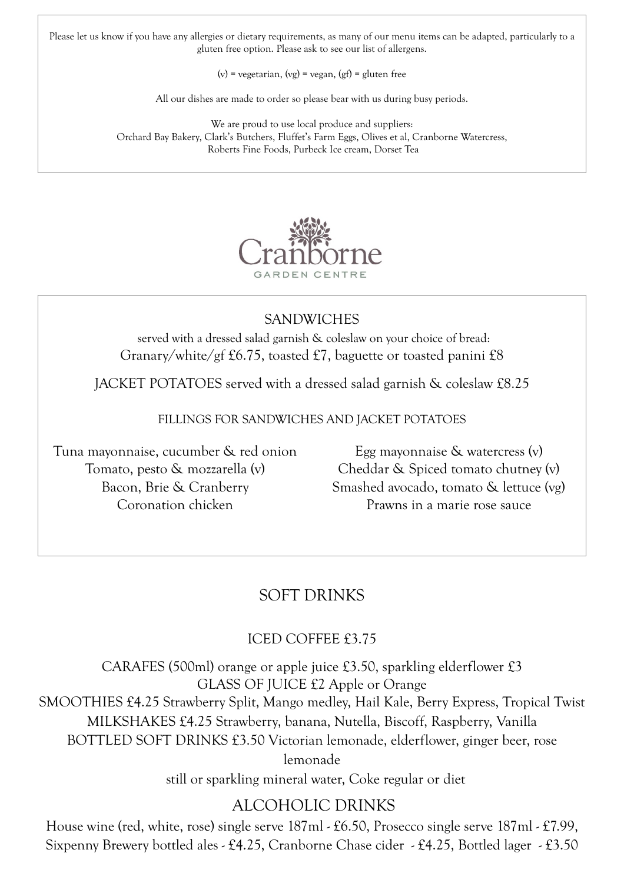Please let us know if you have any allergies or dietary requirements, as many of our menu items can be adapted, particularly to a gluten free option. Please ask to see our list of allergens.

(v) = vegetarian, (vg) = vegan, (gf) = gluten free

All our dishes are made to order so please bear with us during busy periods.

We are proud to use local produce and suppliers: Orchard Bay Bakery, Clark's Butchers, Fluffet's Farm Eggs, Olives et al, Cranborne Watercress, Roberts Fine Foods, Purbeck Ice cream, Dorset Tea



## **SANDWICHES**

served with a dressed salad garnish & coleslaw on your choice of bread: Granary/white/gf £6.75, toasted £7, baguette or toasted panini £8

JACKET POTATOES served with a dressed salad garnish & coleslaw £8.25

FILLINGS FOR SANDWICHES AND JACKET POTATOES

Tuna mayonnaise, cucumber & red onion Tomato, pesto & mozzarella (v) Bacon, Brie & Cranberry Coronation chicken

Egg mayonnaise & watercress (v) Cheddar & Spiced tomato chutney (v) Smashed avocado, tomato & lettuce (vg) Prawns in a marie rose sauce

# SOFT DRINKS

#### ICED COFFEE £3.75

CARAFES (500ml) orange or apple juice £3.50, sparkling elderflower £3 GLASS OF JUICE £2 Apple or Orange SMOOTHIES £4.25 Strawberry Split, Mango medley, Hail Kale, Berry Express, Tropical Twist MILKSHAKES £4.25 Strawberry, banana, Nutella, Biscoff, Raspberry, Vanilla BOTTLED SOFT DRINKS £3.50 Victorian lemonade, elderflower, ginger beer, rose lemonade

still or sparkling mineral water, Coke regular or diet

# ALCOHOLIC DRINKS

House wine (red, white, rose) single serve 187ml - £6.50, Prosecco single serve 187ml - £7.99, Sixpenny Brewery bottled ales - £4.25, Cranborne Chase cider - £4.25, Bottled lager - £3.50